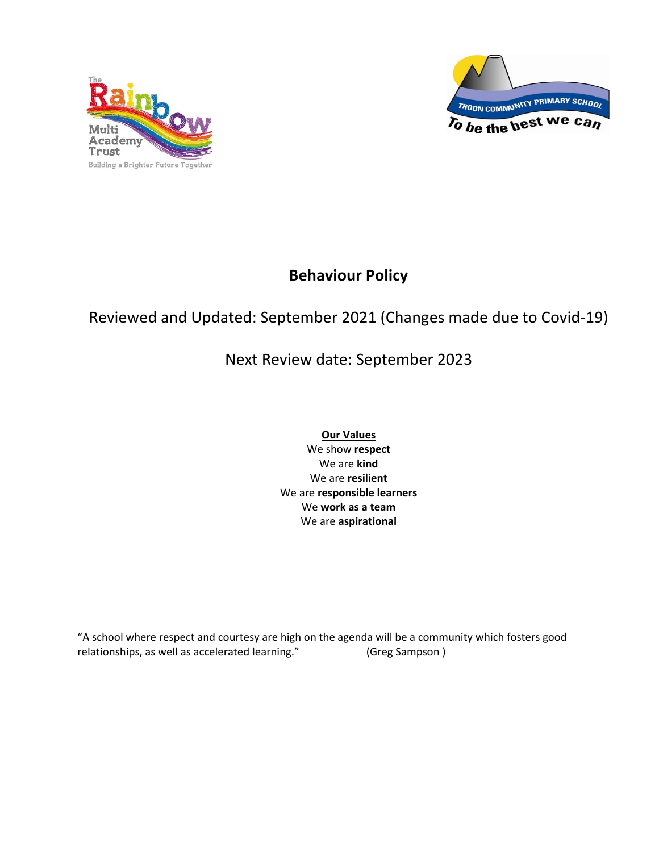



# **Behaviour Policy**

# Reviewed and Updated: September 2021 (Changes made due to Covid-19)

# Next Review date: September 2023

**Our Values** We show **respect** We are **kind** We are **resilient** We are **responsible learners** We **work as a team** We are **aspirational**

"A school where respect and courtesy are high on the agenda will be a community which fosters good relationships, as well as accelerated learning." (Greg Sampson )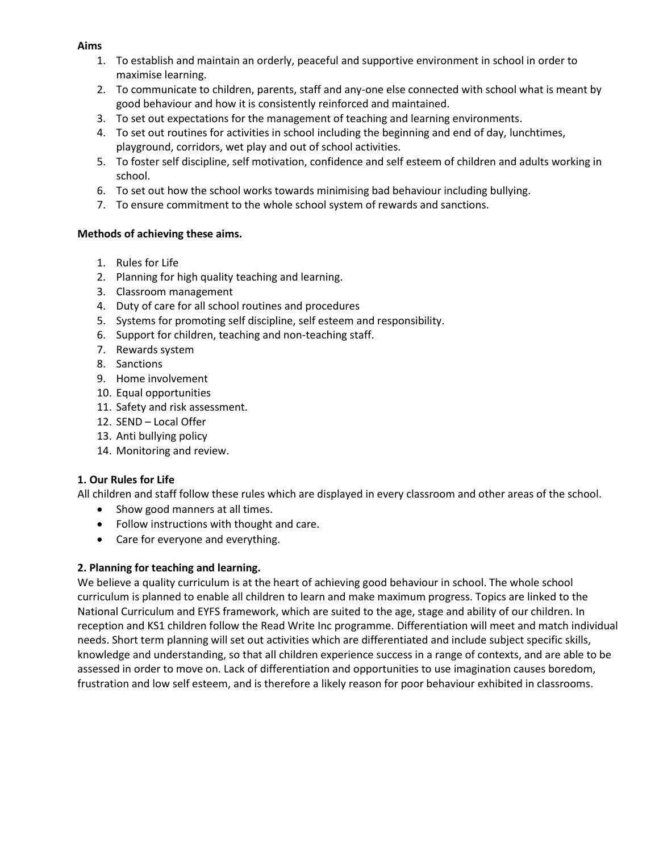#### **Aims**

- 1. To establish and maintain an orderly, peaceful and supportive environment in school in order to maximise learning.
- 2. To communicate to children, parents, staff and any-one else connected with school what is meant by good behaviour and how it is consistently reinforced and maintained.
- 3. To set out expectations for the management of teaching and learning environments.
- 4. To set out routines for activities in school including the beginning and end of day, lunchtimes, playground, corridors, wet play and out of school activities.
- 5. To foster self discipline, self motivation, confidence and self esteem of children and adults working in school.
- 6. To set out how the school works towards minimising bad behaviour including bullying.
- 7. To ensure commitment to the whole school system of rewards and sanctions.

#### **Methods of achieving these aims.**

- 1. Rules for Life
- 2. Planning for high quality teaching and learning.
- 3. Classroom management
- 4. Duty of care for all school routines and procedures
- 5. Systems for promoting self discipline, self esteem and responsibility.
- 6. Support for children, teaching and non-teaching staff.
- 7. Rewards system
- 8. Sanctions
- 9. Home involvement
- 10. Equal opportunities
- 11. Safety and risk assessment.
- 12. SEND Local Offer
- 13. Anti bullying policy
- 14. Monitoring and review.

# **1. Our Rules for Life**

All children and staff follow these rules which are displayed in every classroom and other areas of the school.

- Show good manners at all times.
- Follow instructions with thought and care.
- Care for everyone and everything.

#### **2. Planning for teaching and learning.**

We believe a quality curriculum is at the heart of achieving good behaviour in school. The whole school curriculum is planned to enable all children to learn and make maximum progress. Topics are linked to the National Curriculum and EYFS framework, which are suited to the age, stage and ability of our children. In reception and KS1 children follow the Read Write Inc programme. Differentiation will meet and match individual needs. Short term planning will set out activities which are differentiated and include subject specific skills, knowledge and understanding, so that all children experience success in a range of contexts, and are able to be assessed in order to move on. Lack of differentiation and opportunities to use imagination causes boredom, frustration and low self esteem, and is therefore a likely reason for poor behaviour exhibited in classrooms.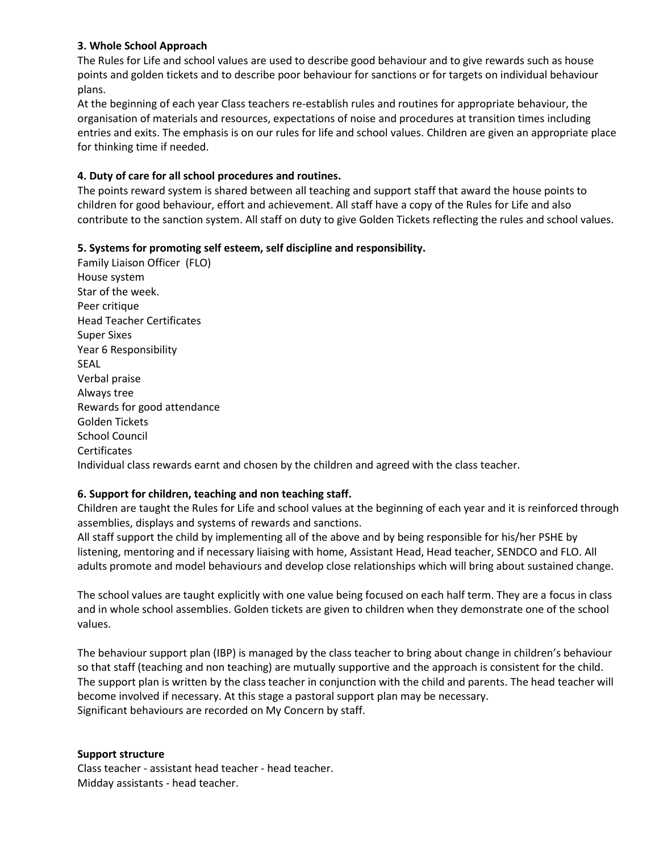#### **3. Whole School Approach**

The Rules for Life and school values are used to describe good behaviour and to give rewards such as house points and golden tickets and to describe poor behaviour for sanctions or for targets on individual behaviour plans.

At the beginning of each year Class teachers re-establish rules and routines for appropriate behaviour, the organisation of materials and resources, expectations of noise and procedures at transition times including entries and exits. The emphasis is on our rules for life and school values. Children are given an appropriate place for thinking time if needed.

### **4. Duty of care for all school procedures and routines.**

The points reward system is shared between all teaching and support staff that award the house points to children for good behaviour, effort and achievement. All staff have a copy of the Rules for Life and also contribute to the sanction system. All staff on duty to give Golden Tickets reflecting the rules and school values.

# **5. Systems for promoting self esteem, self discipline and responsibility.**

Family Liaison Officer (FLO) House system Star of the week. Peer critique Head Teacher Certificates Super Sixes Year 6 Responsibility SEAL Verbal praise Always tree Rewards for good attendance Golden Tickets School Council **Certificates** Individual class rewards earnt and chosen by the children and agreed with the class teacher.

# **6. Support for children, teaching and non teaching staff.**

Children are taught the Rules for Life and school values at the beginning of each year and it is reinforced through assemblies, displays and systems of rewards and sanctions.

All staff support the child by implementing all of the above and by being responsible for his/her PSHE by listening, mentoring and if necessary liaising with home, Assistant Head, Head teacher, SENDCO and FLO. All adults promote and model behaviours and develop close relationships which will bring about sustained change.

The school values are taught explicitly with one value being focused on each half term. They are a focus in class and in whole school assemblies. Golden tickets are given to children when they demonstrate one of the school values.

The behaviour support plan (IBP) is managed by the class teacher to bring about change in children's behaviour so that staff (teaching and non teaching) are mutually supportive and the approach is consistent for the child. The support plan is written by the class teacher in conjunction with the child and parents. The head teacher will become involved if necessary. At this stage a pastoral support plan may be necessary. Significant behaviours are recorded on My Concern by staff.

#### **Support structure**

Class teacher - assistant head teacher - head teacher. Midday assistants - head teacher.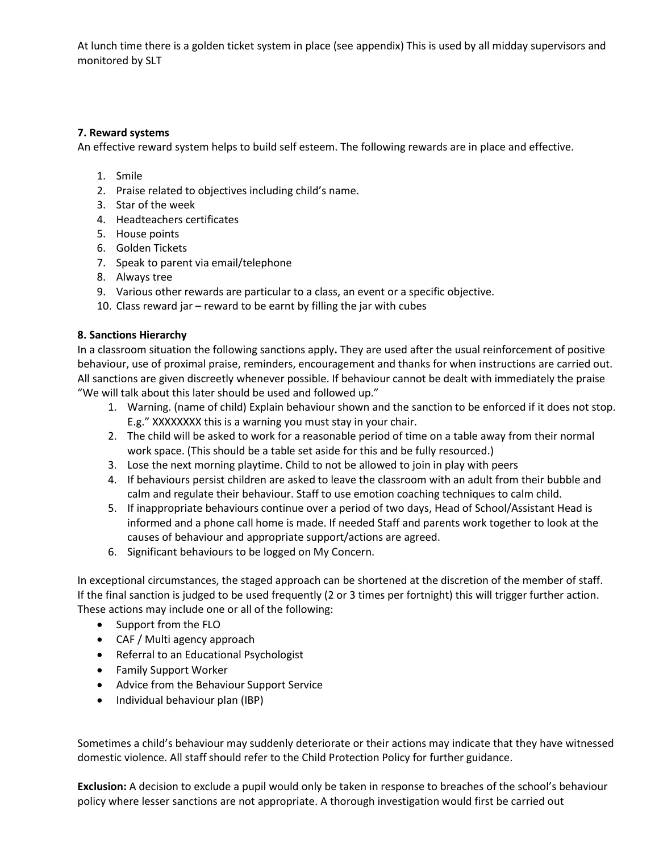At lunch time there is a golden ticket system in place (see appendix) This is used by all midday supervisors and monitored by SLT

#### **7. Reward systems**

An effective reward system helps to build self esteem. The following rewards are in place and effective.

- 1. Smile
- 2. Praise related to objectives including child's name.
- 3. Star of the week
- 4. Headteachers certificates
- 5. House points
- 6. Golden Tickets
- 7. Speak to parent via email/telephone
- 8. Always tree
- 9. Various other rewards are particular to a class, an event or a specific objective.
- 10. Class reward jar reward to be earnt by filling the jar with cubes

#### **8. Sanctions Hierarchy**

In a classroom situation the following sanctions apply**.** They are used after the usual reinforcement of positive behaviour, use of proximal praise, reminders, encouragement and thanks for when instructions are carried out. All sanctions are given discreetly whenever possible. If behaviour cannot be dealt with immediately the praise "We will talk about this later should be used and followed up."

- 1. Warning. (name of child) Explain behaviour shown and the sanction to be enforced if it does not stop. E.g." XXXXXXXX this is a warning you must stay in your chair.
- 2. The child will be asked to work for a reasonable period of time on a table away from their normal work space. (This should be a table set aside for this and be fully resourced.)
- 3. Lose the next morning playtime. Child to not be allowed to join in play with peers
- 4. If behaviours persist children are asked to leave the classroom with an adult from their bubble and calm and regulate their behaviour. Staff to use emotion coaching techniques to calm child.
- 5. If inappropriate behaviours continue over a period of two days, Head of School/Assistant Head is informed and a phone call home is made. If needed Staff and parents work together to look at the causes of behaviour and appropriate support/actions are agreed.
- 6. Significant behaviours to be logged on My Concern.

In exceptional circumstances, the staged approach can be shortened at the discretion of the member of staff. If the final sanction is judged to be used frequently (2 or 3 times per fortnight) this will trigger further action. These actions may include one or all of the following:

- Support from the FLO
- CAF / Multi agency approach
- Referral to an Educational Psychologist
- Family Support Worker
- Advice from the Behaviour Support Service
- Individual behaviour plan (IBP)

Sometimes a child's behaviour may suddenly deteriorate or their actions may indicate that they have witnessed domestic violence. All staff should refer to the Child Protection Policy for further guidance.

**Exclusion:** A decision to exclude a pupil would only be taken in response to breaches of the school's behaviour policy where lesser sanctions are not appropriate. A thorough investigation would first be carried out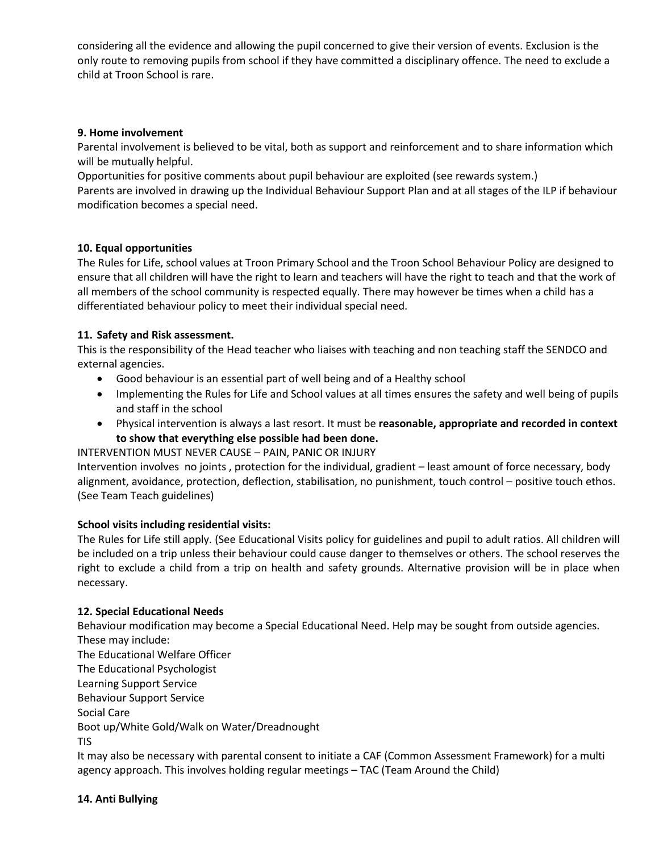considering all the evidence and allowing the pupil concerned to give their version of events. Exclusion is the only route to removing pupils from school if they have committed a disciplinary offence. The need to exclude a child at Troon School is rare.

#### **9. Home involvement**

Parental involvement is believed to be vital, both as support and reinforcement and to share information which will be mutually helpful.

Opportunities for positive comments about pupil behaviour are exploited (see rewards system.)

Parents are involved in drawing up the Individual Behaviour Support Plan and at all stages of the ILP if behaviour modification becomes a special need.

# **10. Equal opportunities**

The Rules for Life, school values at Troon Primary School and the Troon School Behaviour Policy are designed to ensure that all children will have the right to learn and teachers will have the right to teach and that the work of all members of the school community is respected equally. There may however be times when a child has a differentiated behaviour policy to meet their individual special need.

#### **11. Safety and Risk assessment.**

This is the responsibility of the Head teacher who liaises with teaching and non teaching staff the SENDCO and external agencies.

- Good behaviour is an essential part of well being and of a Healthy school
- Implementing the Rules for Life and School values at all times ensures the safety and well being of pupils and staff in the school
- Physical intervention is always a last resort. It must be **reasonable, appropriate and recorded in context to show that everything else possible had been done.**

# INTERVENTION MUST NEVER CAUSE – PAIN, PANIC OR INJURY

Intervention involves no joints , protection for the individual, gradient – least amount of force necessary, body alignment, avoidance, protection, deflection, stabilisation, no punishment, touch control – positive touch ethos. (See Team Teach guidelines)

# **School visits including residential visits:**

The Rules for Life still apply. (See Educational Visits policy for guidelines and pupil to adult ratios. All children will be included on a trip unless their behaviour could cause danger to themselves or others. The school reserves the right to exclude a child from a trip on health and safety grounds. Alternative provision will be in place when necessary.

#### **12. Special Educational Needs**

Behaviour modification may become a Special Educational Need. Help may be sought from outside agencies. These may include:

The Educational Welfare Officer The Educational Psychologist Learning Support Service Behaviour Support Service Social Care Boot up/White Gold/Walk on Water/Dreadnought TIS

It may also be necessary with parental consent to initiate a CAF (Common Assessment Framework) for a multi agency approach. This involves holding regular meetings – TAC (Team Around the Child)

#### **14. Anti Bullying**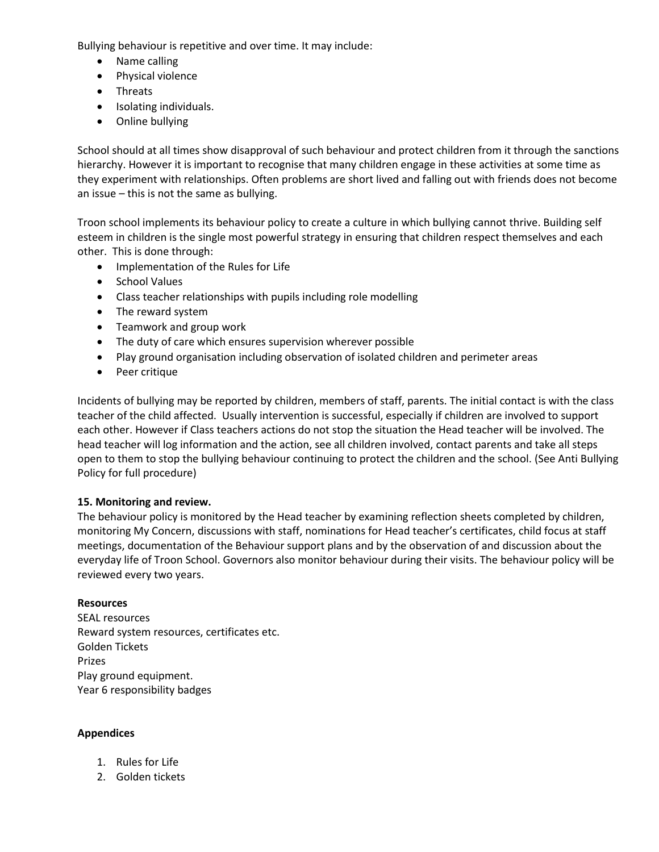Bullying behaviour is repetitive and over time. It may include:

- Name calling
- Physical violence
- Threats
- Isolating individuals.
- Online bullying

School should at all times show disapproval of such behaviour and protect children from it through the sanctions hierarchy. However it is important to recognise that many children engage in these activities at some time as they experiment with relationships. Often problems are short lived and falling out with friends does not become an issue – this is not the same as bullying.

Troon school implements its behaviour policy to create a culture in which bullying cannot thrive. Building self esteem in children is the single most powerful strategy in ensuring that children respect themselves and each other. This is done through:

- Implementation of the Rules for Life
- School Values
- Class teacher relationships with pupils including role modelling
- The reward system
- Teamwork and group work
- The duty of care which ensures supervision wherever possible
- Play ground organisation including observation of isolated children and perimeter areas
- Peer critique

Incidents of bullying may be reported by children, members of staff, parents. The initial contact is with the class teacher of the child affected. Usually intervention is successful, especially if children are involved to support each other. However if Class teachers actions do not stop the situation the Head teacher will be involved. The head teacher will log information and the action, see all children involved, contact parents and take all steps open to them to stop the bullying behaviour continuing to protect the children and the school. (See Anti Bullying Policy for full procedure)

# **15. Monitoring and review.**

The behaviour policy is monitored by the Head teacher by examining reflection sheets completed by children, monitoring My Concern, discussions with staff, nominations for Head teacher's certificates, child focus at staff meetings, documentation of the Behaviour support plans and by the observation of and discussion about the everyday life of Troon School. Governors also monitor behaviour during their visits. The behaviour policy will be reviewed every two years.

# **Resources**

SEAL resources Reward system resources, certificates etc. Golden Tickets Prizes Play ground equipment. Year 6 responsibility badges

# **Appendices**

- 1. Rules for Life
- 2. Golden tickets